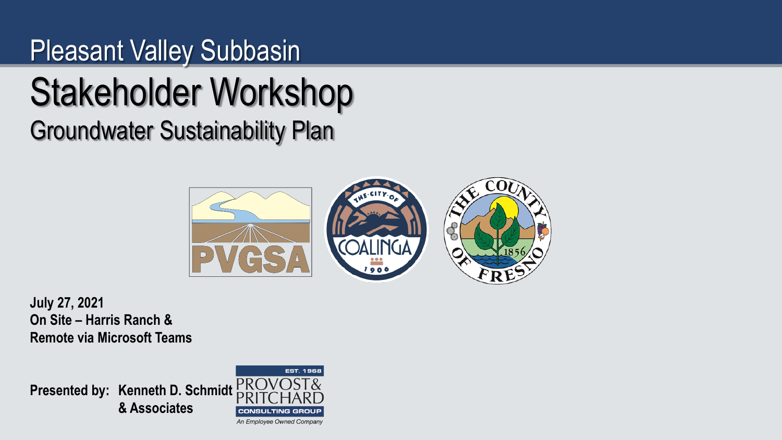#### Pleasant Valley Subbasin

# Stakeholder Workshop

Groundwater Sustainability Plan



**July 27, 2021 On Site – Harris Ranch & Remote via Microsoft Teams**

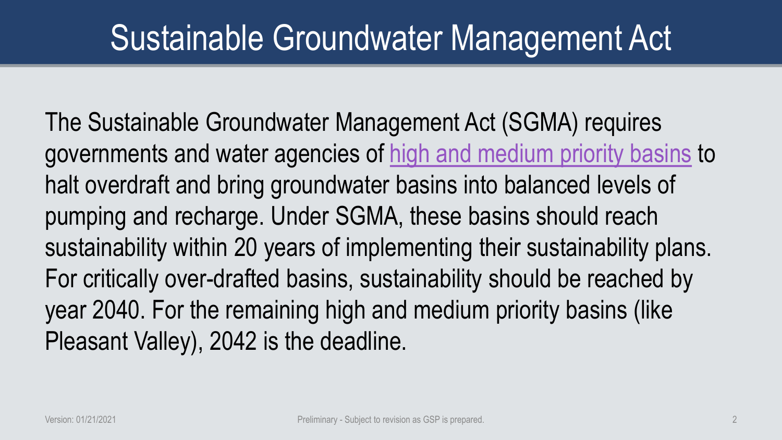### Sustainable Groundwater Management Act

The Sustainable Groundwater Management Act (SGMA) requires governments and water agencies of [high and medium priority basins](https://water.ca.gov/Programs/Groundwater-Management/Basin-Prioritization) to halt overdraft and bring groundwater basins into balanced levels of pumping and recharge. Under SGMA, these basins should reach sustainability within 20 years of implementing their sustainability plans. For critically over-drafted basins, sustainability should be reached by year 2040. For the remaining high and medium priority basins (like Pleasant Valley), 2042 is the deadline.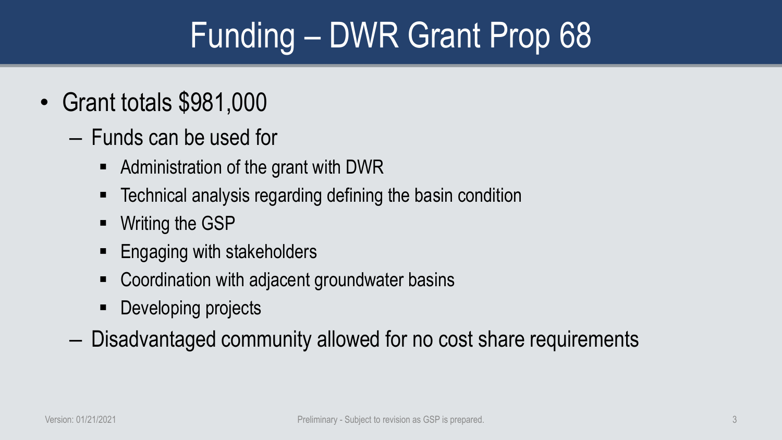# Funding – DWR Grant Prop 68

- Grant totals \$981,000
	- Funds can be used for
		- Administration of the grant with DWR
		- Technical analysis regarding defining the basin condition
		- **Writing the GSP**
		- **Engaging with stakeholders**
		- Coordination with adjacent groundwater basins
		- **Developing projects**
	- Disadvantaged community allowed for no cost share requirements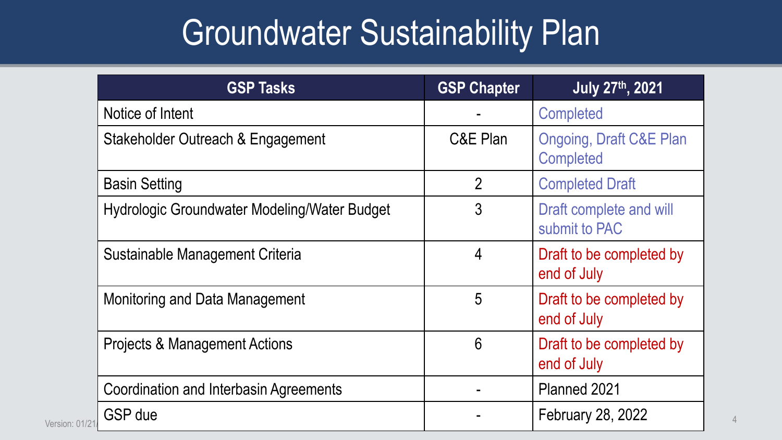# Groundwater Sustainability Plan

| <b>GSP Tasks</b>                              | <b>GSP Chapter</b> | <b>July 27th, 2021</b>                                 |  |
|-----------------------------------------------|--------------------|--------------------------------------------------------|--|
| Notice of Intent                              |                    | <b>Completed</b>                                       |  |
| Stakeholder Outreach & Engagement             | C&E Plan           | <b>Ongoing, Draft C&amp;E Plan</b><br><b>Completed</b> |  |
| <b>Basin Setting</b>                          | $\overline{2}$     | <b>Completed Draft</b>                                 |  |
| Hydrologic Groundwater Modeling/Water Budget  | 3                  | Draft complete and will<br>submit to PAC               |  |
| Sustainable Management Criteria               | 4                  | Draft to be completed by<br>end of July                |  |
| <b>Monitoring and Data Management</b>         | 5                  | Draft to be completed by<br>end of July                |  |
| <b>Projects &amp; Management Actions</b>      | 6                  | Draft to be completed by<br>end of July                |  |
| <b>Coordination and Interbasin Agreements</b> |                    | Planned 2021                                           |  |
| <b>GSP</b> due<br>Version: 01/21              |                    | February 28, 2022                                      |  |
|                                               |                    |                                                        |  |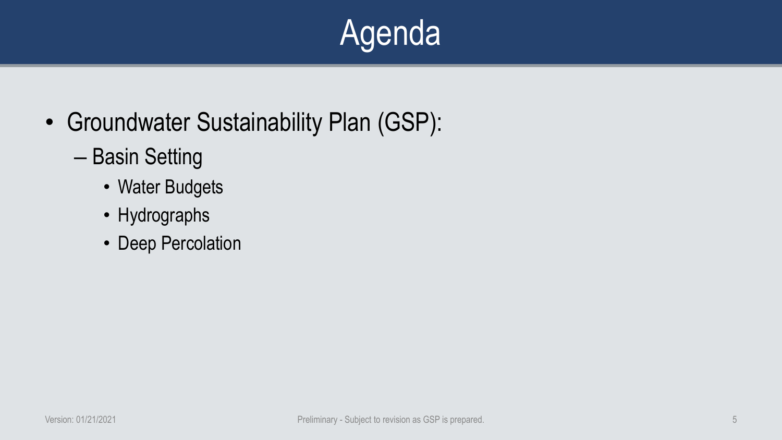# **Agenda**

- Groundwater Sustainability Plan (GSP):
	- Basin Setting
		- Water Budgets
		- Hydrographs
		- Deep Percolation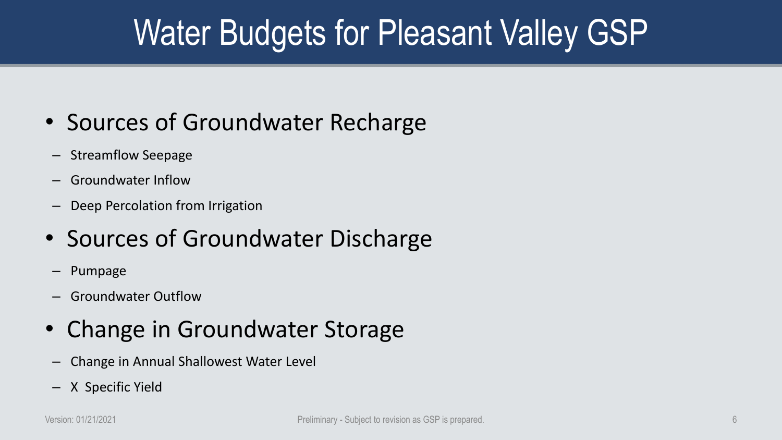# Water Budgets for Pleasant Valley GSP

#### • Sources of Groundwater Recharge

- Streamflow Seepage
- Groundwater Inflow
- Deep Percolation from Irrigation
- Sources of Groundwater Discharge
	- Pumpage
- Groundwater Outflow
- Change in Groundwater Storage
- Change in Annual Shallowest Water Level
- X Specific Yield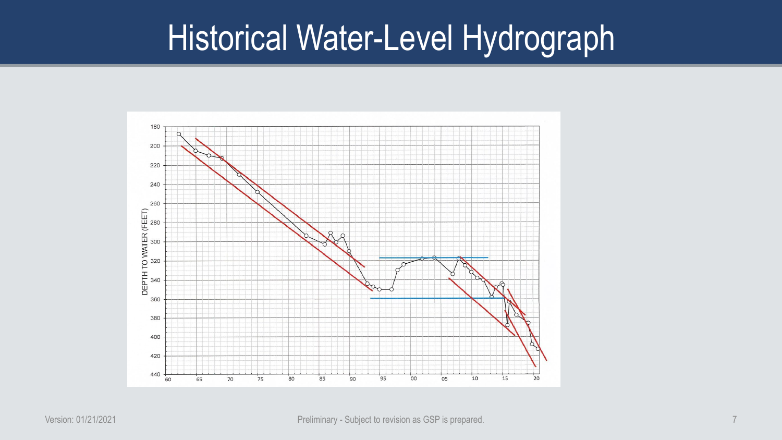### Historical Water-Level Hydrograph

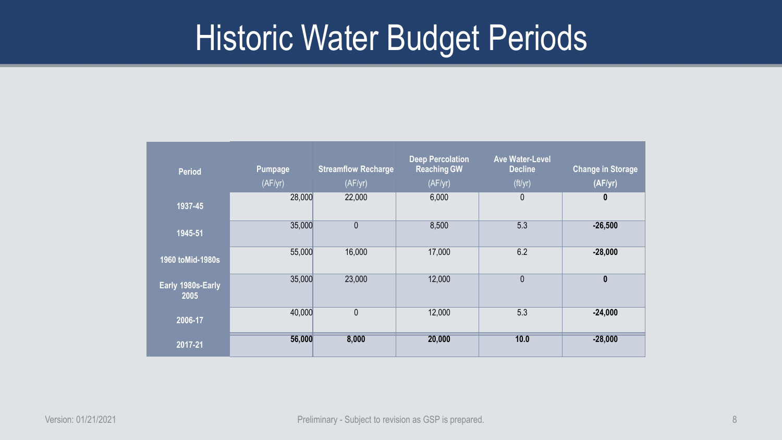### Historic Water Budget Periods

| <b>Period</b>             | <b>Pumpage</b><br>(AF/yr) | <b>Streamflow Recharge</b><br>(AF/yr) | <b>Deep Percolation</b><br><b>Reaching GW</b><br>(AF/yr) | <b>Ave Water-Level</b><br><b>Decline</b><br>(ft/yr) | <b>Change in Storage</b><br>(AF/yr) |
|---------------------------|---------------------------|---------------------------------------|----------------------------------------------------------|-----------------------------------------------------|-------------------------------------|
| 1937-45                   | 28,000                    | 22,000                                | 6,000                                                    | $\mathbf{0}$                                        | $\boldsymbol{0}$                    |
| 1945-51                   | 35,000                    | $\overline{0}$                        | 8,500                                                    | 5.3                                                 | $-26,500$                           |
| 1960 toMid-1980s          | 55,000                    | 16,000                                | 17,000                                                   | 6.2                                                 | $-28,000$                           |
| Early 1980s-Early<br>2005 | 35,000                    | 23,000                                | 12,000                                                   | $\pmb{0}$                                           | $\boldsymbol{0}$                    |
| 2006-17                   | 40,000                    | $\mathbf{0}$                          | 12,000                                                   | 5.3                                                 | $-24,000$                           |
| 2017-21                   | 56,000                    | 8,000                                 | 20,000                                                   | 10.0                                                | $-28,000$                           |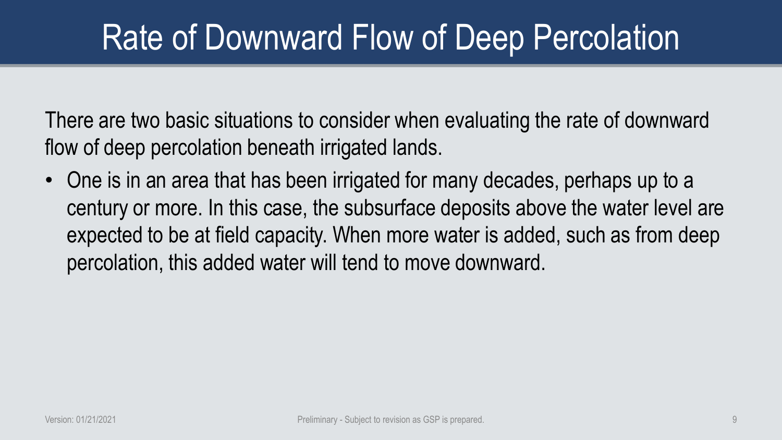There are two basic situations to consider when evaluating the rate of downward flow of deep percolation beneath irrigated lands.

• One is in an area that has been irrigated for many decades, perhaps up to a century or more. In this case, the subsurface deposits above the water level are expected to be at field capacity. When more water is added, such as from deep percolation, this added water will tend to move downward.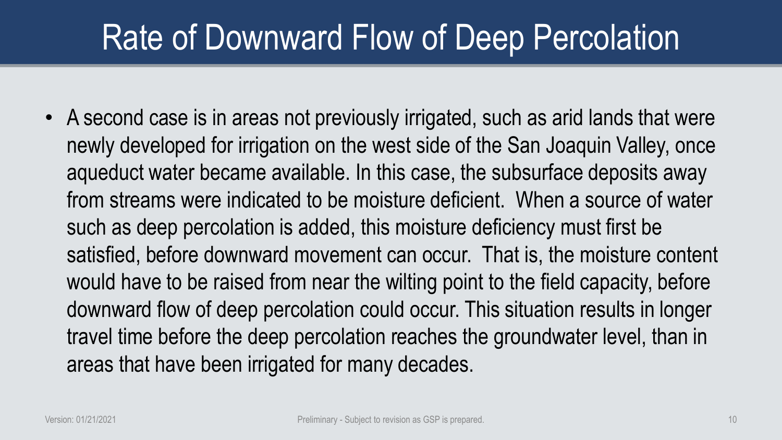• A second case is in areas not previously irrigated, such as arid lands that were newly developed for irrigation on the west side of the San Joaquin Valley, once aqueduct water became available. In this case, the subsurface deposits away from streams were indicated to be moisture deficient. When a source of water such as deep percolation is added, this moisture deficiency must first be satisfied, before downward movement can occur. That is, the moisture content would have to be raised from near the wilting point to the field capacity, before downward flow of deep percolation could occur. This situation results in longer travel time before the deep percolation reaches the groundwater level, than in areas that have been irrigated for many decades.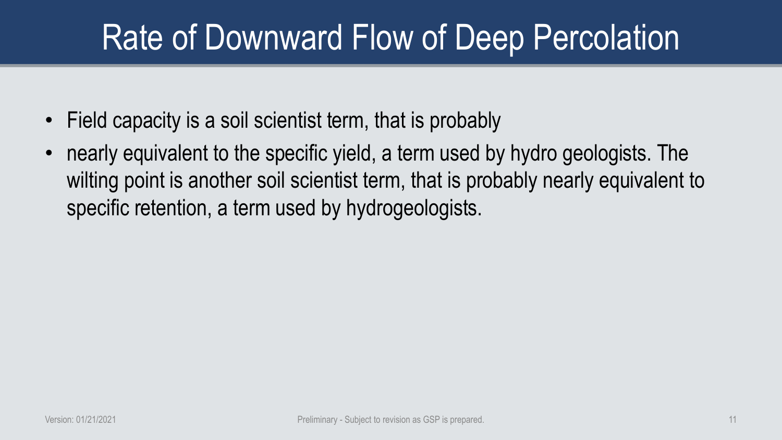- Field capacity is a soil scientist term, that is probably
- nearly equivalent to the specific yield, a term used by hydro geologists. The wilting point is another soil scientist term, that is probably nearly equivalent to specific retention, a term used by hydrogeologists.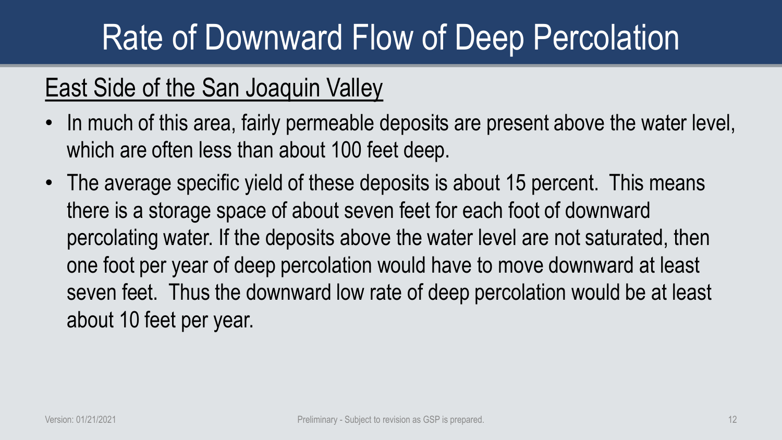#### East Side of the San Joaquin Valley

- In much of this area, fairly permeable deposits are present above the water level, which are often less than about 100 feet deep.
- The average specific yield of these deposits is about 15 percent. This means there is a storage space of about seven feet for each foot of downward percolating water. If the deposits above the water level are not saturated, then one foot per year of deep percolation would have to move downward at least seven feet. Thus the downward low rate of deep percolation would be at least about 10 feet per year.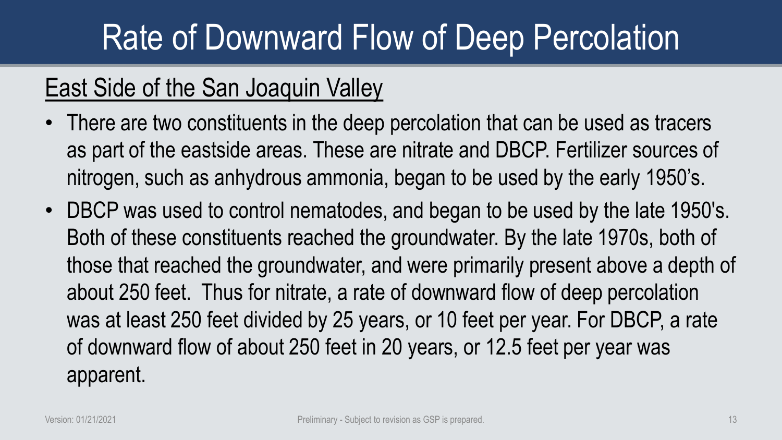#### East Side of the San Joaquin Valley

- There are two constituents in the deep percolation that can be used as tracers as part of the eastside areas. These are nitrate and DBCP. Fertilizer sources of nitrogen, such as anhydrous ammonia, began to be used by the early 1950's.
- DBCP was used to control nematodes, and began to be used by the late 1950's. Both of these constituents reached the groundwater. By the late 1970s, both of those that reached the groundwater, and were primarily present above a depth of about 250 feet. Thus for nitrate, a rate of downward flow of deep percolation was at least 250 feet divided by 25 years, or 10 feet per year. For DBCP, a rate of downward flow of about 250 feet in 20 years, or 12.5 feet per year was apparent.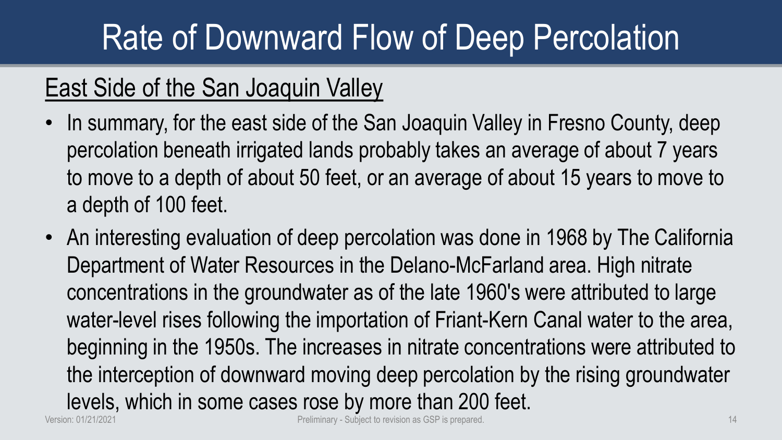#### East Side of the San Joaquin Valley

- In summary, for the east side of the San Joaquin Valley in Fresno County, deep percolation beneath irrigated lands probably takes an average of about 7 years to move to a depth of about 50 feet, or an average of about 15 years to move to a depth of 100 feet.
- An interesting evaluation of deep percolation was done in 1968 by The California Department of Water Resources in the Delano-McFarland area. High nitrate concentrations in the groundwater as of the late 1960's were attributed to large water-level rises following the importation of Friant-Kern Canal water to the area, beginning in the 1950s. The increases in nitrate concentrations were attributed to the interception of downward moving deep percolation by the rising groundwater levels, which in some cases rose by more than 200 feet. Version: 01/21/2021 **Preliminary - Subject to revision as GSP** is prepared. 14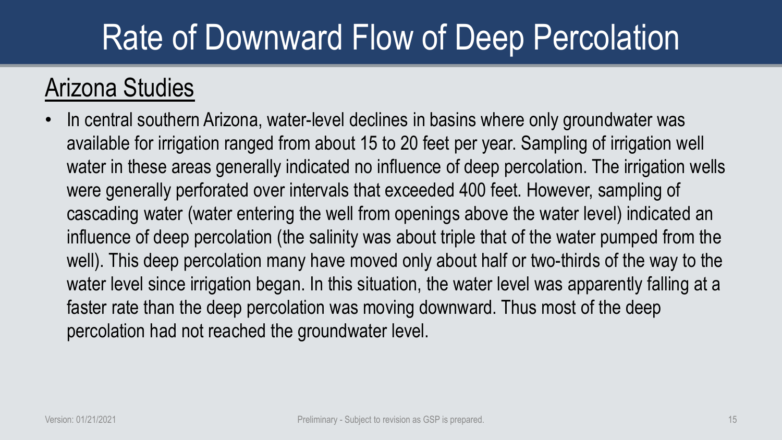#### Arizona Studies

• In central southern Arizona, water-level declines in basins where only groundwater was available for irrigation ranged from about 15 to 20 feet per year. Sampling of irrigation well water in these areas generally indicated no influence of deep percolation. The irrigation wells were generally perforated over intervals that exceeded 400 feet. However, sampling of cascading water (water entering the well from openings above the water level) indicated an influence of deep percolation (the salinity was about triple that of the water pumped from the well). This deep percolation many have moved only about half or two-thirds of the way to the water level since irrigation began. In this situation, the water level was apparently falling at a faster rate than the deep percolation was moving downward. Thus most of the deep percolation had not reached the groundwater level.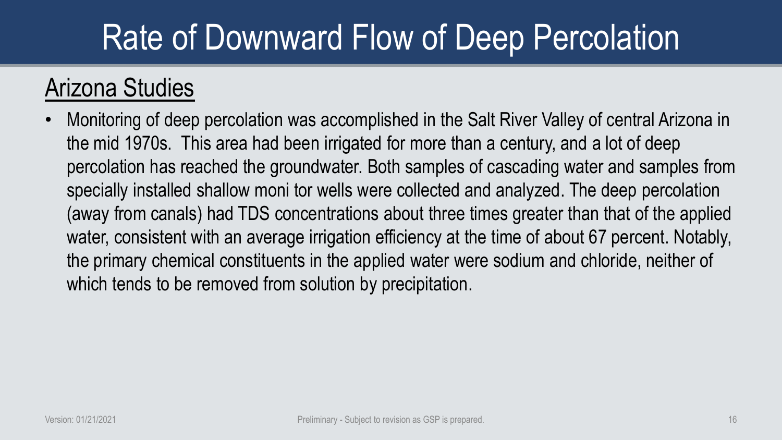#### Arizona Studies

• Monitoring of deep percolation was accomplished in the Salt River Valley of central Arizona in the mid 1970s. This area had been irrigated for more than a century, and a lot of deep percolation has reached the groundwater. Both samples of cascading water and samples from specially installed shallow moni tor wells were collected and analyzed. The deep percolation (away from canals) had TDS concentrations about three times greater than that of the applied water, consistent with an average irrigation efficiency at the time of about 67 percent. Notably, the primary chemical constituents in the applied water were sodium and chloride, neither of which tends to be removed from solution by precipitation.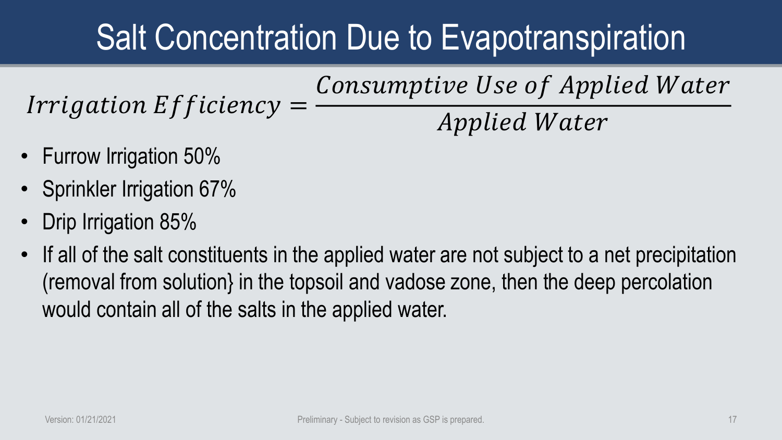$Irrigation$  Efficiency  $=$ Consumptive Use of Applied Water *Applied Water* 

- Furrow Irrigation 50%
- Sprinkler Irrigation 67%
- Drip Irrigation 85%
- If all of the salt constituents in the applied water are not subject to a net precipitation (removal from solution} in the topsoil and vadose zone, then the deep percolation would contain all of the salts in the applied water.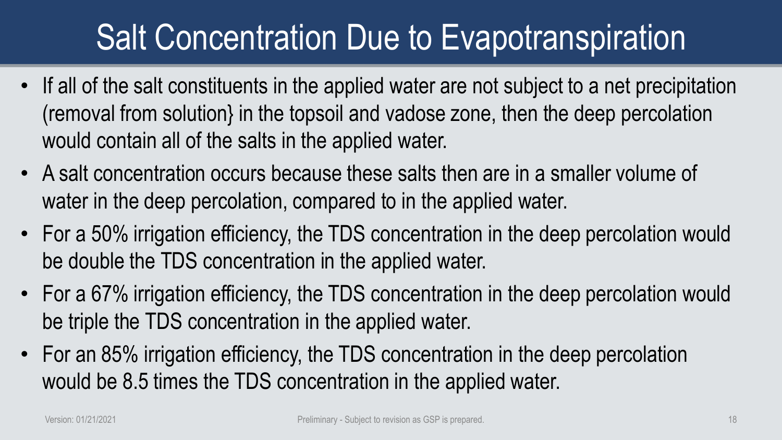- If all of the salt constituents in the applied water are not subject to a net precipitation (removal from solution} in the topsoil and vadose zone, then the deep percolation would contain all of the salts in the applied water.
- A salt concentration occurs because these salts then are in a smaller volume of water in the deep percolation, compared to in the applied water.
- For a 50% irrigation efficiency, the TDS concentration in the deep percolation would be double the TDS concentration in the applied water.
- For a 67% irrigation efficiency, the TDS concentration in the deep percolation would be triple the TDS concentration in the applied water.
- For an 85% irrigation efficiency, the TDS concentration in the deep percolation would be 8.5 times the TDS concentration in the applied water.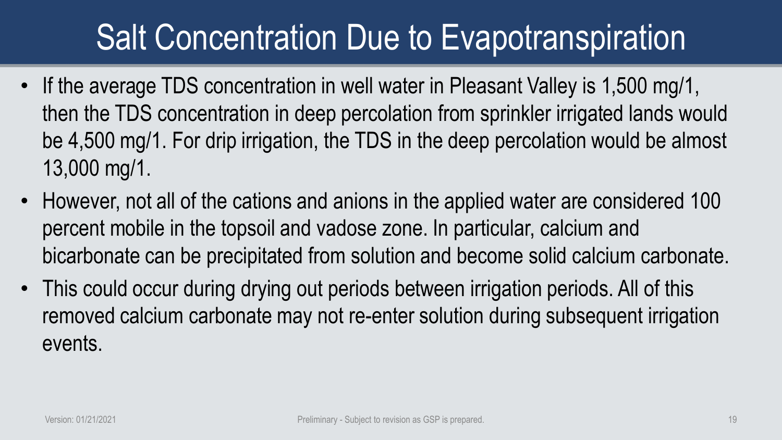- If the average TDS concentration in well water in Pleasant Valley is 1,500 mg/1, then the TDS concentration in deep percolation from sprinkler irrigated lands would be 4,500 mg/1. For drip irrigation, the TDS in the deep percolation would be almost 13,000 mg/1.
- However, not all of the cations and anions in the applied water are considered 100 percent mobile in the topsoil and vadose zone. In particular, calcium and bicarbonate can be precipitated from solution and become solid calcium carbonate.
- This could occur during drying out periods between irrigation periods. All of this removed calcium carbonate may not re-enter solution during subsequent irrigation events.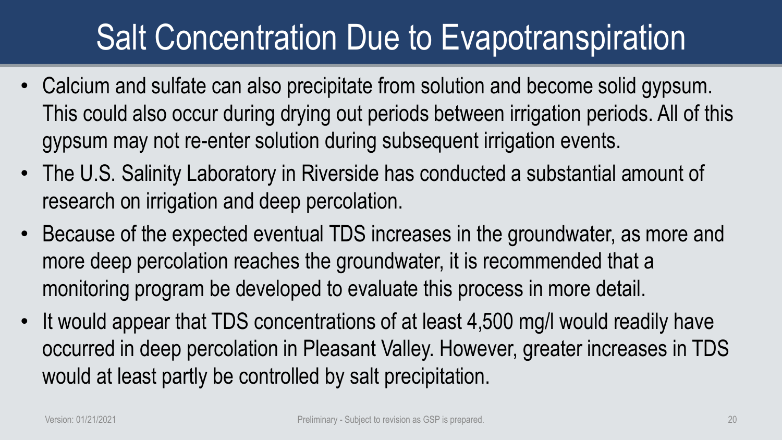- Calcium and sulfate can also precipitate from solution and become solid gypsum. This could also occur during drying out periods between irrigation periods. All of this gypsum may not re-enter solution during subsequent irrigation events.
- The U.S. Salinity Laboratory in Riverside has conducted a substantial amount of research on irrigation and deep percolation.
- Because of the expected eventual TDS increases in the groundwater, as more and more deep percolation reaches the groundwater, it is recommended that a monitoring program be developed to evaluate this process in more detail.
- It would appear that TDS concentrations of at least 4,500 mg/l would readily have occurred in deep percolation in Pleasant Valley. However, greater increases in TDS would at least partly be controlled by salt precipitation.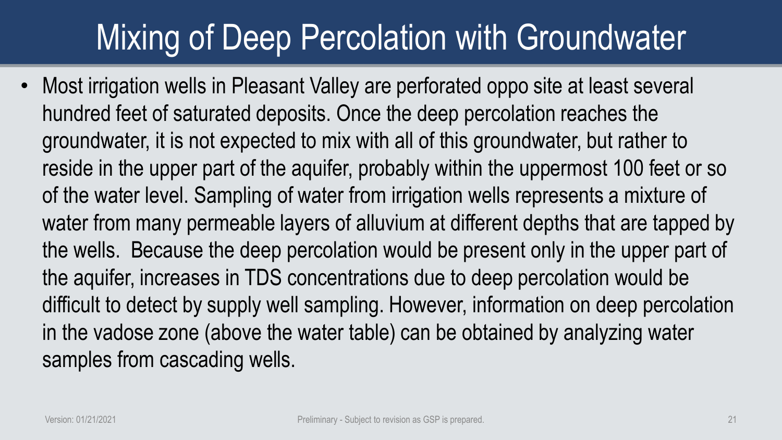# Mixing of Deep Percolation with Groundwater

• Most irrigation wells in Pleasant Valley are perforated oppo site at least several hundred feet of saturated deposits. Once the deep percolation reaches the groundwater, it is not expected to mix with all of this groundwater, but rather to reside in the upper part of the aquifer, probably within the uppermost 100 feet or so of the water level. Sampling of water from irrigation wells represents a mixture of water from many permeable layers of alluvium at different depths that are tapped by the wells. Because the deep percolation would be present only in the upper part of the aquifer, increases in TDS concentrations due to deep percolation would be difficult to detect by supply well sampling. However, information on deep percolation in the vadose zone (above the water table) can be obtained by analyzing water samples from cascading wells.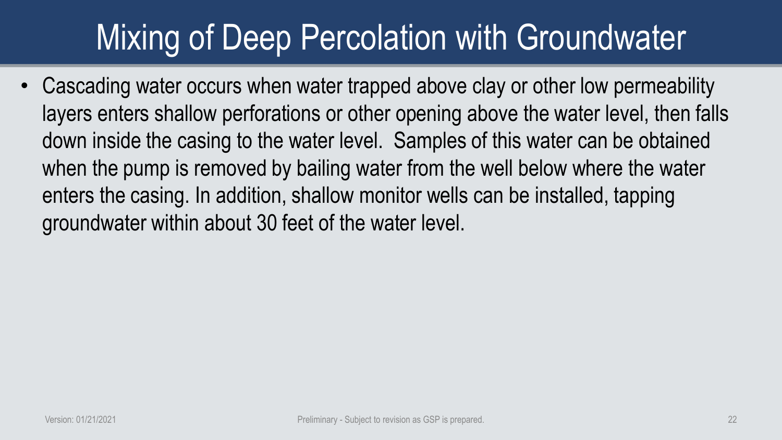# Mixing of Deep Percolation with Groundwater

• Cascading water occurs when water trapped above clay or other low permeability layers enters shallow perforations or other opening above the water level, then falls down inside the casing to the water level. Samples of this water can be obtained when the pump is removed by bailing water from the well below where the water enters the casing. In addition, shallow monitor wells can be installed, tapping groundwater within about 30 feet of the water level.